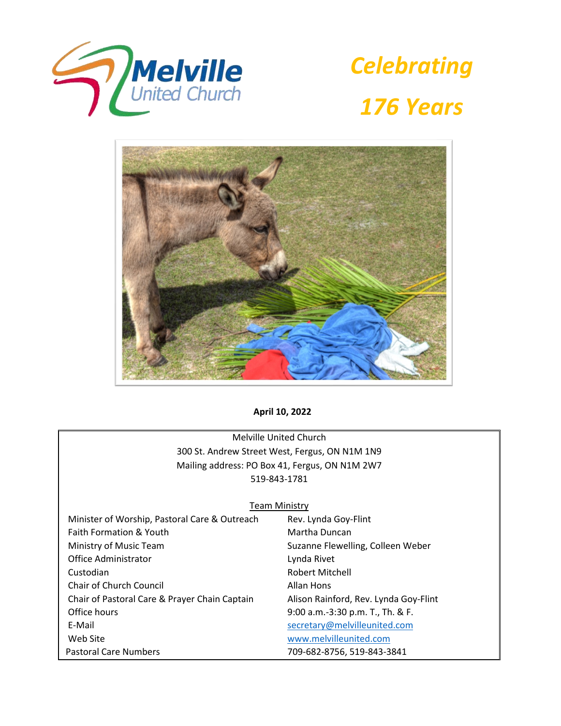

*Celebrating 176 Years*



**April 10, 2022**

Melville United Church 300 St. Andrew Street West, Fergus, ON N1M 1N9 Mailing address: PO Box 41, Fergus, ON N1M 2W7 519-843-1781

## **Team Ministry**

| Minister of Worship, Pastoral Care & Outreach | Rev. Lynda Goy-Flint                  |
|-----------------------------------------------|---------------------------------------|
| Faith Formation & Youth                       | Martha Duncan                         |
| Ministry of Music Team                        | Suzanne Flewelling, Colleen Weber     |
| Office Administrator                          | Lynda Rivet                           |
| Custodian                                     | <b>Robert Mitchell</b>                |
| Chair of Church Council                       | Allan Hons                            |
| Chair of Pastoral Care & Prayer Chain Captain | Alison Rainford, Rev. Lynda Goy-Flint |
| Office hours                                  | 9:00 a.m.-3:30 p.m. T., Th. & F.      |
| E-Mail                                        | secretary@melvilleunited.com          |
| Web Site                                      | www.melvilleunited.com                |
| <b>Pastoral Care Numbers</b>                  | 709-682-8756, 519-843-3841            |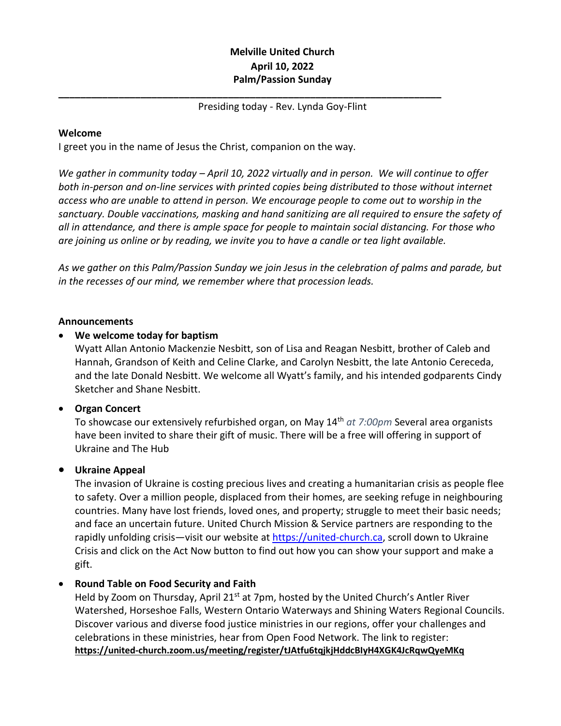# **Melville United Church April 10, 2022 Palm/Passion Sunday**

## Presiding today - Rev. Lynda Goy-Flint

**\_\_\_\_\_\_\_\_\_\_\_\_\_\_\_\_\_\_\_\_\_\_\_\_\_\_\_\_\_\_\_\_\_\_\_\_\_\_\_\_\_\_\_\_\_\_\_\_\_\_\_\_\_\_\_\_\_\_\_\_\_\_\_\_\_\_\_\_\_\_**

## **Welcome**

I greet you in the name of Jesus the Christ, companion on the way.

*We gather in community today – April 10, 2022 virtually and in person. We will continue to offer both in-person and on-line services with printed copies being distributed to those without internet access who are unable to attend in person. We encourage people to come out to worship in the sanctuary. Double vaccinations, masking and hand sanitizing are all required to ensure the safety of all in attendance, and there is ample space for people to maintain social distancing. For those who are joining us online or by reading, we invite you to have a candle or tea light available.*

*As we gather on this Palm/Passion Sunday we join Jesus in the celebration of palms and parade, but in the recesses of our mind, we remember where that procession leads.*

### **Announcements**

## • **We welcome today for baptism**

Wyatt Allan Antonio Mackenzie Nesbitt, son of Lisa and Reagan Nesbitt, brother of Caleb and Hannah, Grandson of Keith and Celine Clarke, and Carolyn Nesbitt, the late Antonio Cereceda, and the late Donald Nesbitt. We welcome all Wyatt's family, and his intended godparents Cindy Sketcher and Shane Nesbitt.

## • **Organ Concert**

To showcase our extensively refurbished organ, on May 14th *at 7:00pm* Several area organists have been invited to share their gift of music. There will be a free will offering in support of Ukraine and The Hub

## • **Ukraine Appeal**

The invasion of Ukraine is costing precious lives and creating a humanitarian crisis as people flee to safety. Over a million people, displaced from their homes, are seeking refuge in neighbouring countries. Many have lost friends, loved ones, and property; struggle to meet their basic needs; and face an uncertain future. United Church Mission & Service partners are responding to the rapidly unfolding crisis—visit our website at [https://united-church.ca,](https://united-church.ca/) scroll down to Ukraine Crisis and click on the Act Now button to find out how you can show your support and make a gift.

## • **Round Table on Food Security and Faith**

Held by Zoom on Thursday, April 21<sup>st</sup> at 7pm, hosted by the United Church's Antler River Watershed, Horseshoe Falls, Western Ontario Waterways and Shining Waters Regional Councils. Discover various and diverse food justice ministries in our regions, offer your challenges and celebrations in these ministries, hear from Open Food Network. The link to register: **<https://united-church.zoom.us/meeting/register/tJAtfu6tqjkjHddcBIyH4XGK4JcRqwQyeMKq>**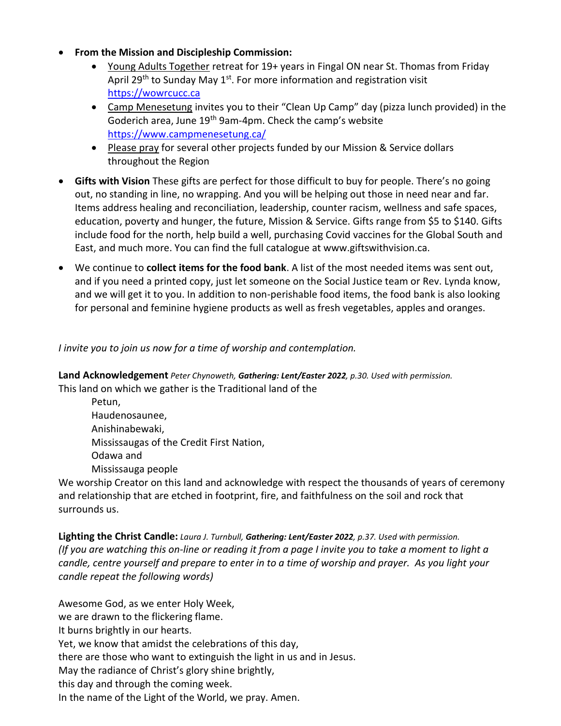- **From the Mission and Discipleship Commission:**
	- Young Adults Together retreat for 19+ years in Fingal ON near St. Thomas from Friday April 29<sup>th</sup> to Sunday May 1<sup>st</sup>. For more information and registration visit [https://wowrcucc.ca](https://wowrcucc.ca/)
	- Camp Menesetung invites you to their "Clean Up Camp" day (pizza lunch provided) in the Goderich area, June 19<sup>th</sup> 9am-4pm. Check the camp's website <https://www.campmenesetung.ca/>
	- Please pray for several other projects funded by our Mission & Service dollars throughout the Region
- **Gifts with Vision** These gifts are perfect for those difficult to buy for people. There's no going out, no standing in line, no wrapping. And you will be helping out those in need near and far. Items address healing and reconciliation, leadership, counter racism, wellness and safe spaces, education, poverty and hunger, the future, Mission & Service. Gifts range from \$5 to \$140. Gifts include food for the north, help build a well, purchasing Covid vaccines for the Global South and East, and much more. You can find the full catalogue at www.giftswithvision.ca.
- We continue to **collect items for the food bank**. A list of the most needed items was sent out, and if you need a printed copy, just let someone on the Social Justice team or Rev. Lynda know, and we will get it to you. In addition to non-perishable food items, the food bank is also looking for personal and feminine hygiene products as well as fresh vegetables, apples and oranges.

# *I invite you to join us now for a time of worship and contemplation.*

**Land Acknowledgement** *Peter Chynoweth, Gathering: Lent/Easter 2022, p.30. Used with permission.* This land on which we gather is the Traditional land of the

Petun, Haudenosaunee, Anishinabewaki, Mississaugas of the Credit First Nation, Odawa and Mississauga people

We worship Creator on this land and acknowledge with respect the thousands of years of ceremony and relationship that are etched in footprint, fire, and faithfulness on the soil and rock that surrounds us.

**Lighting the Christ Candle:** *Laura J. Turnbull, Gathering: Lent/Easter 2022, p.37. Used with permission. (If you are watching this on-line or reading it from a page I invite you to take a moment to light a candle, centre yourself and prepare to enter in to a time of worship and prayer. As you light your candle repeat the following words)*

Awesome God, as we enter Holy Week, we are drawn to the flickering flame. It burns brightly in our hearts. Yet, we know that amidst the celebrations of this day, there are those who want to extinguish the light in us and in Jesus. May the radiance of Christ's glory shine brightly, this day and through the coming week. In the name of the Light of the World, we pray. Amen.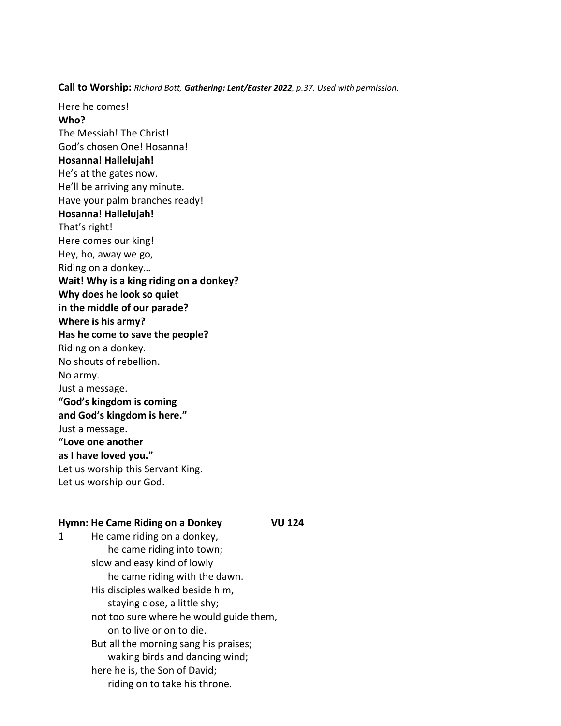**Call to Worship:** *Richard Bott, Gathering: Lent/Easter 2022, p.37. Used with permission.*

Here he comes! **Who?** The Messiah! The Christ! God's chosen One! Hosanna! **Hosanna! Hallelujah!** He's at the gates now. He'll be arriving any minute. Have your palm branches ready! **Hosanna! Hallelujah!** That's right! Here comes our king! Hey, ho, away we go, Riding on a donkey… **Wait! Why is a king riding on a donkey? Why does he look so quiet in the middle of our parade? Where is his army? Has he come to save the people?** Riding on a donkey. No shouts of rebellion. No army. Just a message. **"God's kingdom is coming and God's kingdom is here."** Just a message. **"Love one another as I have loved you."** Let us worship this Servant King. Let us worship our God.

#### **Hymn: He Came Riding on a Donkey VU 124**

1 He came riding on a donkey, he came riding into town; slow and easy kind of lowly he came riding with the dawn. His disciples walked beside him, staying close, a little shy; not too sure where he would guide them, on to live or on to die. But all the morning sang his praises; waking birds and dancing wind; here he is, the Son of David; riding on to take his throne.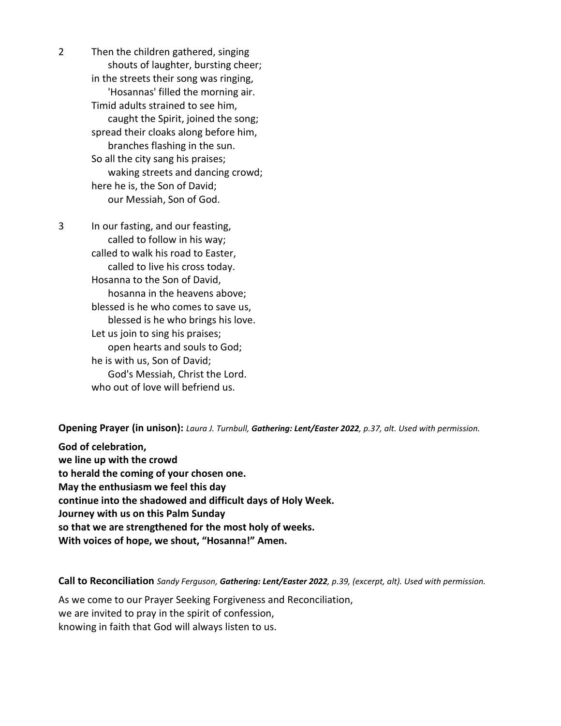2 Then the children gathered, singing shouts of laughter, bursting cheer; in the streets their song was ringing, 'Hosannas' filled the morning air. Timid adults strained to see him, caught the Spirit, joined the song; spread their cloaks along before him, branches flashing in the sun. So all the city sang his praises; waking streets and dancing crowd; here he is, the Son of David; our Messiah, Son of God.

3 In our fasting, and our feasting, called to follow in his way; called to walk his road to Easter, called to live his cross today. Hosanna to the Son of David, hosanna in the heavens above; blessed is he who comes to save us, blessed is he who brings his love. Let us join to sing his praises; open hearts and souls to God; he is with us, Son of David; God's Messiah, Christ the Lord. who out of love will befriend us.

**Opening Prayer (in unison):** *Laura J. Turnbull, Gathering: Lent/Easter 2022, p.37, alt. Used with permission.*

**God of celebration, we line up with the crowd to herald the coming of your chosen one. May the enthusiasm we feel this day continue into the shadowed and difficult days of Holy Week. Journey with us on this Palm Sunday so that we are strengthened for the most holy of weeks. With voices of hope, we shout, "Hosanna!" Amen.**

**Call to Reconciliation** *Sandy Ferguson, Gathering: Lent/Easter 2022, p.39, (excerpt, alt). Used with permission.*

As we come to our Prayer Seeking Forgiveness and Reconciliation, we are invited to pray in the spirit of confession, knowing in faith that God will always listen to us.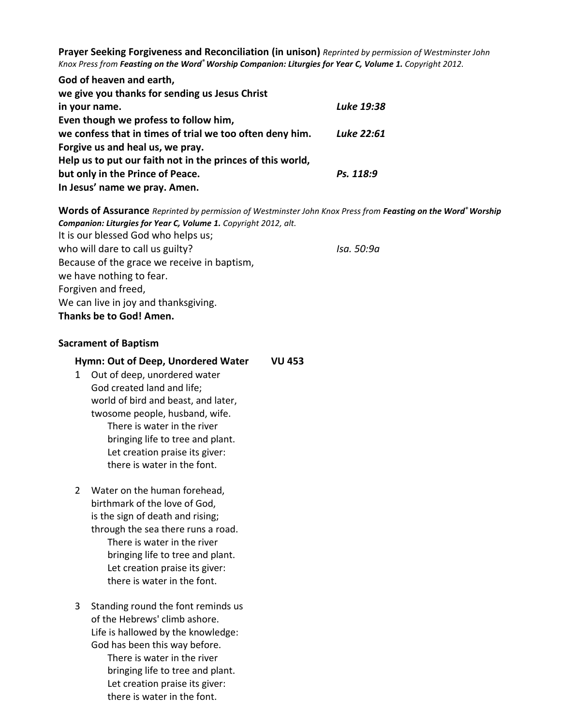**Prayer Seeking Forgiveness and Reconciliation (in unison)** *Reprinted by permission of Westminster John Knox Press from Feasting on the Word® Worship Companion: Liturgies for Year C, Volume 1. Copyright 2012.*

| God of heaven and earth,                                   |            |
|------------------------------------------------------------|------------|
| we give you thanks for sending us Jesus Christ             |            |
| in your name.                                              | Luke 19:38 |
| Even though we profess to follow him,                      |            |
| we confess that in times of trial we too often deny him.   | Luke 22:61 |
| Forgive us and heal us, we pray.                           |            |
| Help us to put our faith not in the princes of this world, |            |
| but only in the Prince of Peace.                           | Ps. 118:9  |
| In Jesus' name we pray. Amen.                              |            |

**Words of Assurance** *Reprinted by permission of Westminster John Knox Press from Feasting on the Word® Worship Companion: Liturgies for Year C, Volume 1. Copyright 2012, alt.* It is our blessed God who helps us; who will dare to call us guilty? **Isa.** 50:9a Because of the grace we receive in baptism, we have nothing to fear. Forgiven and freed, We can live in joy and thanksgiving. **Thanks be to God! Amen.**

### **Sacrament of Baptism**

### **Hymn: Out of Deep, Unordered Water VU 453**

- 1 Out of deep, unordered water God created land and life; world of bird and beast, and later, twosome people, husband, wife. There is water in the river bringing life to tree and plant. Let creation praise its giver: there is water in the font.
- 2 Water on the human forehead, birthmark of the love of God, is the sign of death and rising; through the sea there runs a road. There is water in the river bringing life to tree and plant. Let creation praise its giver: there is water in the font.
- 3 Standing round the font reminds us of the Hebrews' climb ashore. Life is hallowed by the knowledge: God has been this way before. There is water in the river bringing life to tree and plant. Let creation praise its giver: there is water in the font.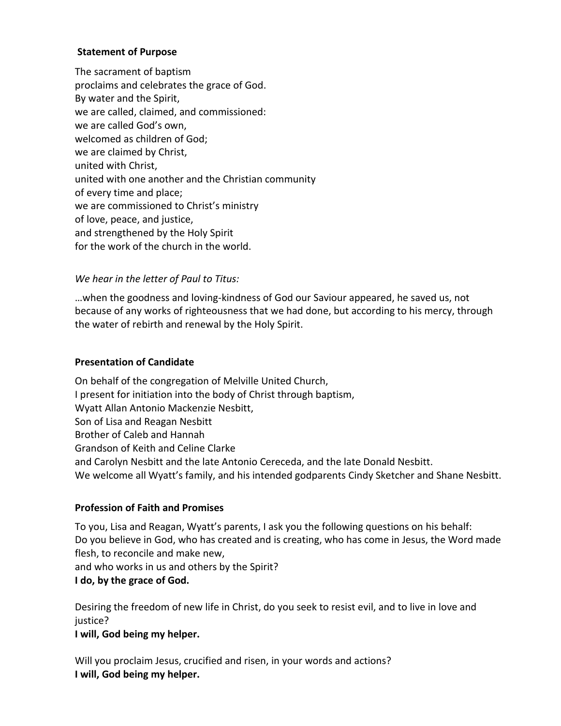## **Statement of Purpose**

The sacrament of baptism proclaims and celebrates the grace of God. By water and the Spirit, we are called, claimed, and commissioned: we are called God's own, welcomed as children of God; we are claimed by Christ, united with Christ, united with one another and the Christian community of every time and place; we are commissioned to Christ's ministry of love, peace, and justice, and strengthened by the Holy Spirit for the work of the church in the world.

# *We hear in the letter of Paul to Titus:*

…when the goodness and loving-kindness of God our Saviour appeared, he saved us, not because of any works of righteousness that we had done, but according to his mercy, through the water of rebirth and renewal by the Holy Spirit.

## **Presentation of Candidate**

On behalf of the congregation of Melville United Church, I present for initiation into the body of Christ through baptism, Wyatt Allan Antonio Mackenzie Nesbitt, Son of Lisa and Reagan Nesbitt Brother of Caleb and Hannah Grandson of Keith and Celine Clarke and Carolyn Nesbitt and the late Antonio Cereceda, and the late Donald Nesbitt. We welcome all Wyatt's family, and his intended godparents Cindy Sketcher and Shane Nesbitt.

## **Profession of Faith and Promises**

To you, Lisa and Reagan, Wyatt's parents, I ask you the following questions on his behalf: Do you believe in God, who has created and is creating, who has come in Jesus, the Word made flesh, to reconcile and make new, and who works in us and others by the Spirit?

## **I do, by the grace of God.**

Desiring the freedom of new life in Christ, do you seek to resist evil, and to live in love and justice?

**I will, God being my helper.**

Will you proclaim Jesus, crucified and risen, in your words and actions? **I will, God being my helper.**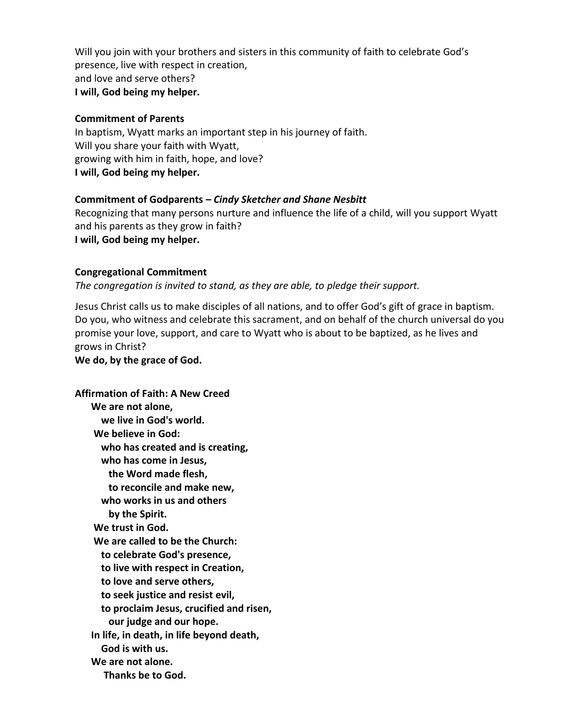Will you join with your brothers and sisters in this community of faith to celebrate God's presence, live with respect in creation, and love and serve others? **I will, God being my helper.**

## **Commitment of Parents**

In baptism, Wyatt marks an important step in his journey of faith. Will you share your faith with Wyatt, growing with him in faith, hope, and love? **I will, God being my helper.**

# **Commitment of Godparents –** *Cindy Sketcher and Shane Nesbitt*

Recognizing that many persons nurture and influence the life of a child, will you support Wyatt and his parents as they grow in faith? **I will, God being my helper.**

# **Congregational Commitment**

*The congregation is invited to stand, as they are able, to pledge their support.*

Jesus Christ calls us to make disciples of all nations, and to offer God's gift of grace in baptism. Do you, who witness and celebrate this sacrament, and on behalf of the church universal do you promise your love, support, and care to Wyatt who is about to be baptized, as he lives and grows in Christ?

**We do, by the grace of God.**

**Affirmation of Faith: A New Creed We are not alone, we live in God's world. We believe in God: who has created and is creating, who has come in Jesus, the Word made flesh, to reconcile and make new, who works in us and others by the Spirit. We trust in God. We are called to be the Church: to celebrate God's presence, to live with respect in Creation, to love and serve others, to seek justice and resist evil, to proclaim Jesus, crucified and risen, our judge and our hope. In life, in death, in life beyond death, God is with us. We are not alone. Thanks be to God.**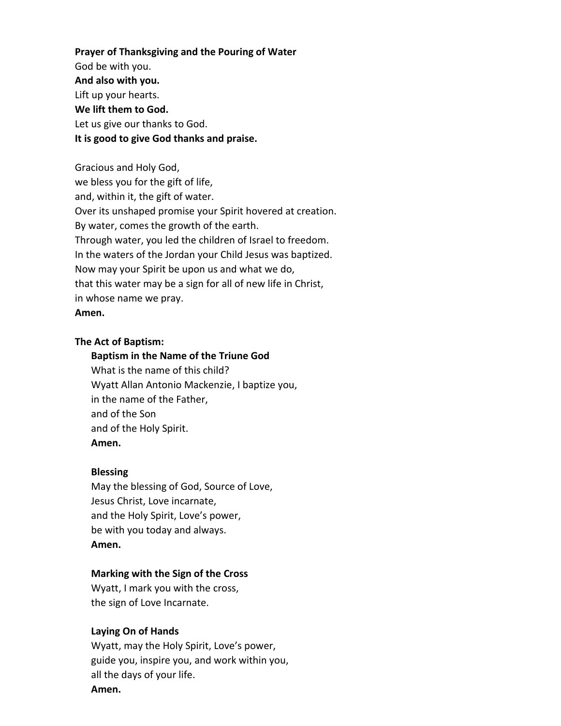**Prayer of Thanksgiving and the Pouring of Water** God be with you. **And also with you.**  Lift up your hearts. **We lift them to God.** Let us give our thanks to God. **It is good to give God thanks and praise.** 

Gracious and Holy God, we bless you for the gift of life, and, within it, the gift of water. Over its unshaped promise your Spirit hovered at creation. By water, comes the growth of the earth. Through water, you led the children of Israel to freedom. In the waters of the Jordan your Child Jesus was baptized. Now may your Spirit be upon us and what we do, that this water may be a sign for all of new life in Christ, in whose name we pray. **Amen.**

### **The Act of Baptism:**

### **Baptism in the Name of the Triune God**

What is the name of this child? Wyatt Allan Antonio Mackenzie, I baptize you, in the name of the Father, and of the Son and of the Holy Spirit. **Amen.**

#### **Blessing**

May the blessing of God, Source of Love, Jesus Christ, Love incarnate, and the Holy Spirit, Love's power, be with you today and always. **Amen.**

### **Marking with the Sign of the Cross**

Wyatt, I mark you with the cross, the sign of Love Incarnate.

### **Laying On of Hands**

Wyatt, may the Holy Spirit, Love's power, guide you, inspire you, and work within you, all the days of your life. **Amen.**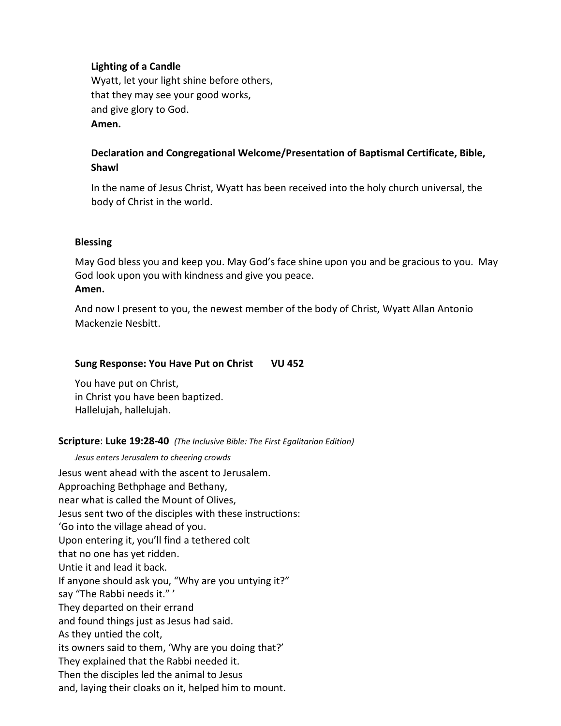# **Lighting of a Candle**

Wyatt, let your light shine before others, that they may see your good works, and give glory to God. **Amen.**

# **Declaration and Congregational Welcome/Presentation of Baptismal Certificate, Bible, Shawl**

In the name of Jesus Christ, Wyatt has been received into the holy church universal, the body of Christ in the world.

## **Blessing**

May God bless you and keep you. May God's face shine upon you and be gracious to you. May God look upon you with kindness and give you peace. **Amen.**

And now I present to you, the newest member of the body of Christ, Wyatt Allan Antonio Mackenzie Nesbitt.

## **Sung Response: You Have Put on Christ VU 452**

You have put on Christ, in Christ you have been baptized. Hallelujah, hallelujah.

## **Scripture**: **Luke 19:28-40** *(The Inclusive Bible: The First Egalitarian Edition)*

*Jesus enters Jerusalem to cheering crowds* Jesus went ahead with the ascent to Jerusalem. Approaching Bethphage and Bethany, near what is called the Mount of Olives, Jesus sent two of the disciples with these instructions: 'Go into the village ahead of you. Upon entering it, you'll find a tethered colt that no one has yet ridden. Untie it and lead it back. If anyone should ask you, "Why are you untying it?" say "The Rabbi needs it." ' They departed on their errand and found things just as Jesus had said. As they untied the colt, its owners said to them, 'Why are you doing that?' They explained that the Rabbi needed it. Then the disciples led the animal to Jesus and, laying their cloaks on it, helped him to mount.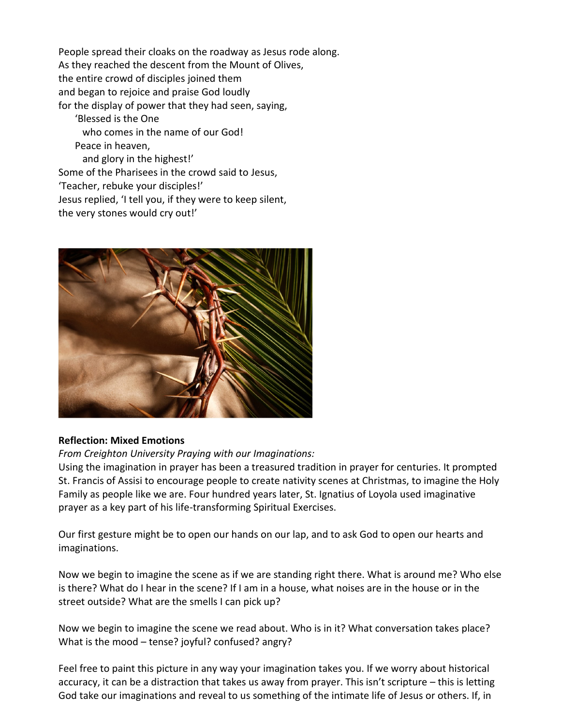People spread their cloaks on the roadway as Jesus rode along. As they reached the descent from the Mount of Olives, the entire crowd of disciples joined them and began to rejoice and praise God loudly for the display of power that they had seen, saying, 'Blessed is the One who comes in the name of our God! Peace in heaven, and glory in the highest!' Some of the Pharisees in the crowd said to Jesus, 'Teacher, rebuke your disciples!' Jesus replied, 'I tell you, if they were to keep silent, the very stones would cry out!'



## **Reflection: Mixed Emotions**

*From Creighton University Praying with our Imaginations:*

Using the imagination in prayer has been a treasured tradition in prayer for centuries. It prompted St. Francis of Assisi to encourage people to create nativity scenes at Christmas, to imagine the Holy Family as people like we are. Four hundred years later, St. Ignatius of Loyola used imaginative prayer as a key part of his life-transforming Spiritual Exercises.

Our first gesture might be to open our hands on our lap, and to ask God to open our hearts and imaginations.

Now we begin to imagine the scene as if we are standing right there. What is around me? Who else is there? What do I hear in the scene? If I am in a house, what noises are in the house or in the street outside? What are the smells I can pick up?

Now we begin to imagine the scene we read about. Who is in it? What conversation takes place? What is the mood – tense? joyful? confused? angry?

Feel free to paint this picture in any way your imagination takes you. If we worry about historical accuracy, it can be a distraction that takes us away from prayer. This isn't scripture – this is letting God take our imaginations and reveal to us something of the intimate life of Jesus or others. If, in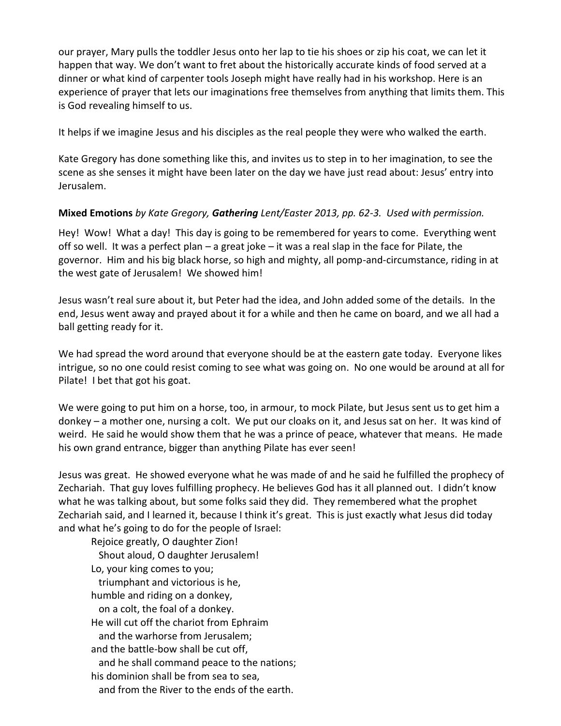our prayer, Mary pulls the toddler Jesus onto her lap to tie his shoes or zip his coat, we can let it happen that way. We don't want to fret about the historically accurate kinds of food served at a dinner or what kind of carpenter tools Joseph might have really had in his workshop. Here is an experience of prayer that lets our imaginations free themselves from anything that limits them. This is God revealing himself to us.

It helps if we imagine Jesus and his disciples as the real people they were who walked the earth.

Kate Gregory has done something like this, and invites us to step in to her imagination, to see the scene as she senses it might have been later on the day we have just read about: Jesus' entry into Jerusalem.

# **Mixed Emotions** *by Kate Gregory, Gathering Lent/Easter 2013, pp. 62-3. Used with permission.*

Hey! Wow! What a day! This day is going to be remembered for years to come. Everything went off so well. It was a perfect plan – a great joke – it was a real slap in the face for Pilate, the governor. Him and his big black horse, so high and mighty, all pomp-and-circumstance, riding in at the west gate of Jerusalem! We showed him!

Jesus wasn't real sure about it, but Peter had the idea, and John added some of the details. In the end, Jesus went away and prayed about it for a while and then he came on board, and we all had a ball getting ready for it.

We had spread the word around that everyone should be at the eastern gate today. Everyone likes intrigue, so no one could resist coming to see what was going on. No one would be around at all for Pilate! I bet that got his goat.

We were going to put him on a horse, too, in armour, to mock Pilate, but Jesus sent us to get him a donkey – a mother one, nursing a colt. We put our cloaks on it, and Jesus sat on her. It was kind of weird. He said he would show them that he was a prince of peace, whatever that means. He made his own grand entrance, bigger than anything Pilate has ever seen!

Jesus was great. He showed everyone what he was made of and he said he fulfilled the prophecy of Zechariah. That guy loves fulfilling prophecy. He believes God has it all planned out. I didn't know what he was talking about, but some folks said they did. They remembered what the prophet Zechariah said, and I learned it, because I think it's great. This is just exactly what Jesus did today and what he's going to do for the people of Israel:

Rejoice greatly, O daughter Zion! Shout aloud, O daughter Jerusalem! Lo, your king comes to you; triumphant and victorious is he, humble and riding on a donkey, on a colt, the foal of a donkey. He will cut off the chariot from Ephraim and the warhorse from Jerusalem; and the battle-bow shall be cut off, and he shall command peace to the nations; his dominion shall be from sea to sea, and from the River to the ends of the earth.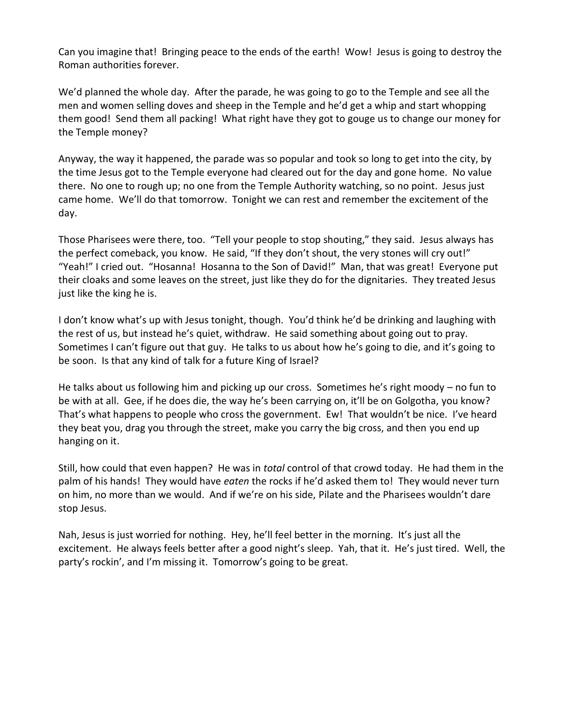Can you imagine that! Bringing peace to the ends of the earth! Wow! Jesus is going to destroy the Roman authorities forever.

We'd planned the whole day. After the parade, he was going to go to the Temple and see all the men and women selling doves and sheep in the Temple and he'd get a whip and start whopping them good! Send them all packing! What right have they got to gouge us to change our money for the Temple money?

Anyway, the way it happened, the parade was so popular and took so long to get into the city, by the time Jesus got to the Temple everyone had cleared out for the day and gone home. No value there. No one to rough up; no one from the Temple Authority watching, so no point. Jesus just came home. We'll do that tomorrow. Tonight we can rest and remember the excitement of the day.

Those Pharisees were there, too. "Tell your people to stop shouting," they said. Jesus always has the perfect comeback, you know. He said, "If they don't shout, the very stones will cry out!" "Yeah!" I cried out. "Hosanna! Hosanna to the Son of David!" Man, that was great! Everyone put their cloaks and some leaves on the street, just like they do for the dignitaries. They treated Jesus just like the king he is.

I don't know what's up with Jesus tonight, though. You'd think he'd be drinking and laughing with the rest of us, but instead he's quiet, withdraw. He said something about going out to pray. Sometimes I can't figure out that guy. He talks to us about how he's going to die, and it's going to be soon. Is that any kind of talk for a future King of Israel?

He talks about us following him and picking up our cross. Sometimes he's right moody – no fun to be with at all. Gee, if he does die, the way he's been carrying on, it'll be on Golgotha, you know? That's what happens to people who cross the government. Ew! That wouldn't be nice. I've heard they beat you, drag you through the street, make you carry the big cross, and then you end up hanging on it.

Still, how could that even happen? He was in *total* control of that crowd today. He had them in the palm of his hands! They would have *eaten* the rocks if he'd asked them to! They would never turn on him, no more than we would. And if we're on his side, Pilate and the Pharisees wouldn't dare stop Jesus.

Nah, Jesus is just worried for nothing. Hey, he'll feel better in the morning. It's just all the excitement. He always feels better after a good night's sleep. Yah, that it. He's just tired. Well, the party's rockin', and I'm missing it. Tomorrow's going to be great.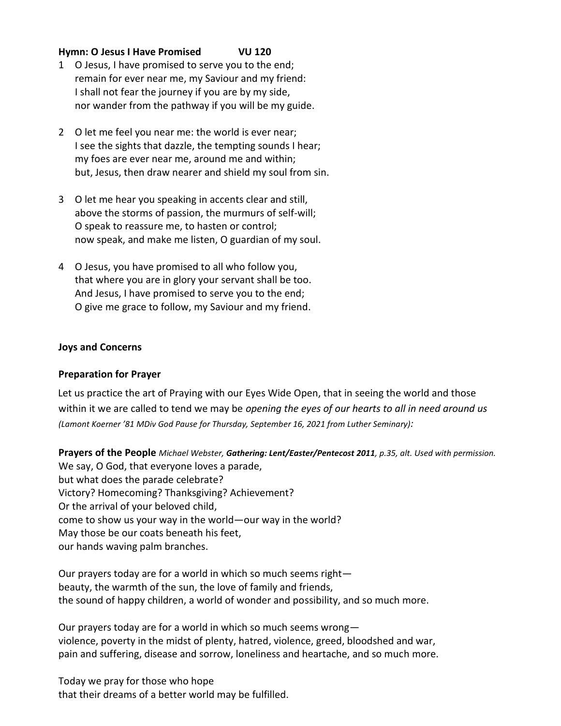# **Hymn: O Jesus I Have Promised VU 120**

- 1 O Jesus, I have promised to serve you to the end; remain for ever near me, my Saviour and my friend: I shall not fear the journey if you are by my side, nor wander from the pathway if you will be my guide.
- 2 O let me feel you near me: the world is ever near; I see the sights that dazzle, the tempting sounds I hear; my foes are ever near me, around me and within; but, Jesus, then draw nearer and shield my soul from sin.
- 3 O let me hear you speaking in accents clear and still, above the storms of passion, the murmurs of self-will; O speak to reassure me, to hasten or control; now speak, and make me listen, O guardian of my soul.
- 4 O Jesus, you have promised to all who follow you, that where you are in glory your servant shall be too. And Jesus, I have promised to serve you to the end; O give me grace to follow, my Saviour and my friend.

### **Joys and Concerns**

## **Preparation for Prayer**

Let us practice the art of Praying with our Eyes Wide Open, that in seeing the world and those within it we are called to tend we may be *opening the eyes of our hearts to all in need around us (Lamont Koerner '81 MDiv God Pause for Thursday, September 16, 2021 from Luther Seminary):*

**Prayers of the People** *Michael Webster, Gathering: Lent/Easter/Pentecost 2011, p.35, alt. Used with permission.* We say, O God, that everyone loves a parade, but what does the parade celebrate? Victory? Homecoming? Thanksgiving? Achievement? Or the arrival of your beloved child, come to show us your way in the world—our way in the world? May those be our coats beneath his feet, our hands waving palm branches.

Our prayers today are for a world in which so much seems right beauty, the warmth of the sun, the love of family and friends, the sound of happy children, a world of wonder and possibility, and so much more.

Our prayers today are for a world in which so much seems wrong violence, poverty in the midst of plenty, hatred, violence, greed, bloodshed and war, pain and suffering, disease and sorrow, loneliness and heartache, and so much more.

Today we pray for those who hope that their dreams of a better world may be fulfilled.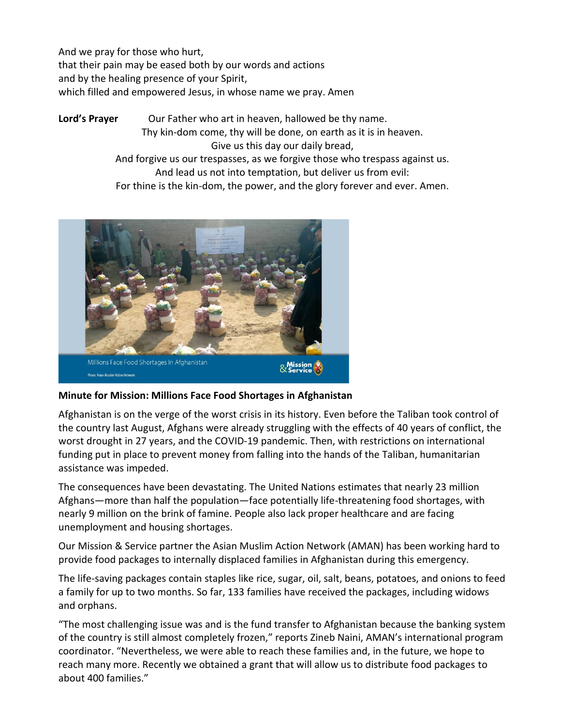And we pray for those who hurt, that their pain may be eased both by our words and actions and by the healing presence of your Spirit, which filled and empowered Jesus, in whose name we pray. Amen

Lord's Prayer **Our Father who art in heaven, hallowed be thy name.** Thy kin-dom come, thy will be done, on earth as it is in heaven. Give us this day our daily bread, And forgive us our trespasses, as we forgive those who trespass against us. And lead us not into temptation, but deliver us from evil: For thine is the kin-dom, the power, and the glory forever and ever. Amen.



# **Minute for Mission: Millions Face Food Shortages in Afghanistan**

Afghanistan is on the verge of the worst crisis in its history. Even before the Taliban took control of the country last August, Afghans were already struggling with the effects of 40 years of conflict, the worst drought in 27 years, and the COVID-19 pandemic. Then, with restrictions on international funding put in place to prevent money from falling into the hands of the Taliban, humanitarian assistance was impeded.

The consequences have been devastating. The United Nations estimates that nearly 23 million Afghans―more than half the population―face potentially life-threatening food shortages, with nearly 9 million on the brink of famine. People also lack proper healthcare and are facing unemployment and housing shortages.

Our Mission & Service partner the Asian Muslim Action Network (AMAN) has been working hard to provide food packages to internally displaced families in Afghanistan during this emergency.

The life-saving packages contain staples like rice, sugar, oil, salt, beans, potatoes, and onions to feed a family for up to two months. So far, 133 families have received the packages, including widows and orphans.

"The most challenging issue was and is the fund transfer to Afghanistan because the banking system of the country is still almost completely frozen," reports Zineb Naini, AMAN's international program coordinator. "Nevertheless, we were able to reach these families and, in the future, we hope to reach many more. Recently we obtained a grant that will allow us to distribute food packages to about 400 families."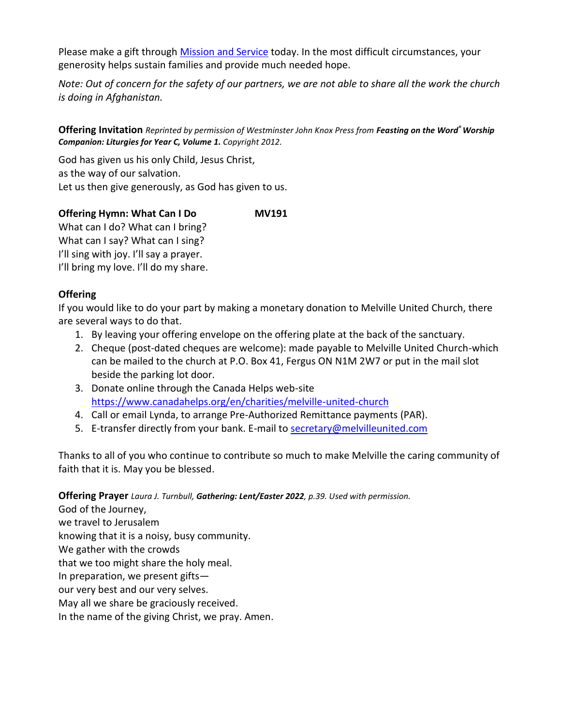Please make a gift through [Mission and Service](https://united-church.ca/donate) today. In the most difficult circumstances, your generosity helps sustain families and provide much needed hope.

*Note: Out of concern for the safety of our partners, we are not able to share all the work the church is doing in Afghanistan.*

**Offering Invitation** *Reprinted by permission of Westminster John Knox Press from Feasting on the Word® Worship Companion: Liturgies for Year C, Volume 1. Copyright 2012.*

God has given us his only Child, Jesus Christ, as the way of our salvation. Let us then give generously, as God has given to us.

**Offering Hymn: What Can I Do MV191** What can I do? What can I bring? What can I say? What can I sing? I'll sing with joy. I'll say a prayer.

I'll bring my love. I'll do my share.

# **Offering**

If you would like to do your part by making a monetary donation to Melville United Church, there are several ways to do that.

- 1. By leaving your offering envelope on the offering plate at the back of the sanctuary.
- 2. Cheque (post-dated cheques are welcome): made payable to Melville United Church-which can be mailed to the church at P.O. Box 41, Fergus ON N1M 2W7 or put in the mail slot beside the parking lot door.
- 3. Donate online through the Canada Helps web-site <https://www.canadahelps.org/en/charities/melville-united-church>
- 4. Call or email Lynda, to arrange Pre-Authorized Remittance payments (PAR).
- 5. E-transfer directly from your bank. E-mail to [secretary@melvilleunited.com](mailto:secretary@melvilleunited.com)

Thanks to all of you who continue to contribute so much to make Melville the caring community of faith that it is. May you be blessed.

**Offering Prayer** *Laura J. Turnbull, Gathering: Lent/Easter 2022, p.39. Used with permission.*

God of the Journey, we travel to Jerusalem knowing that it is a noisy, busy community. We gather with the crowds that we too might share the holy meal. In preparation, we present gifts our very best and our very selves. May all we share be graciously received. In the name of the giving Christ, we pray. Amen.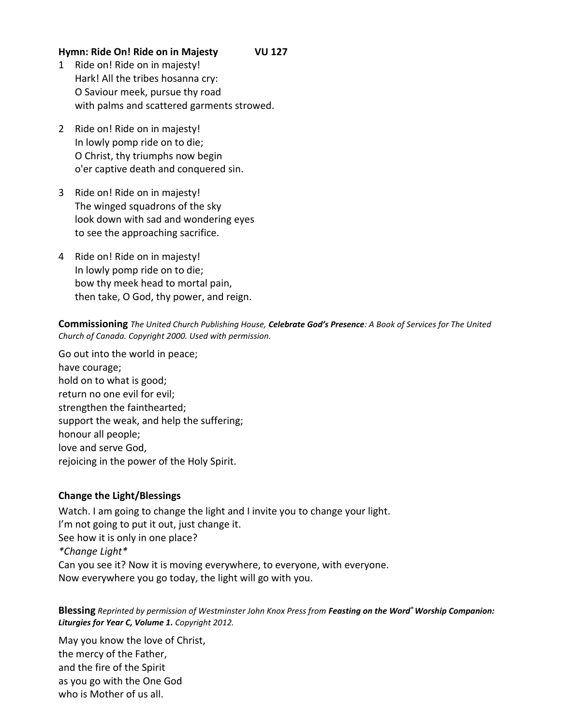# **Hymn: Ride On! Ride on in Majesty VU 127**

- 1 Ride on! Ride on in majesty! Hark! All the tribes hosanna cry: O Saviour meek, pursue thy road with palms and scattered garments strowed.
- 2 Ride on! Ride on in majesty! In lowly pomp ride on to die; O Christ, thy triumphs now begin o'er captive death and conquered sin.
- 3 Ride on! Ride on in majesty! The winged squadrons of the sky look down with sad and wondering eyes to see the approaching sacrifice.
- 4 Ride on! Ride on in majesty! In lowly pomp ride on to die; bow thy meek head to mortal pain, then take, O God, thy power, and reign.

### **Commissioning** *The United Church Publishing House, Celebrate God's Presence: A Book of Services for The United Church of Canada. Copyright 2000. Used with permission.*

Go out into the world in peace; have courage; hold on to what is good; return no one evil for evil; strengthen the fainthearted; support the weak, and help the suffering; honour all people; love and serve God, rejoicing in the power of the Holy Spirit.

# **Change the Light/Blessings**

Watch. I am going to change the light and I invite you to change your light. I'm not going to put it out, just change it. See how it is only in one place? *\*Change Light\**  Can you see it? Now it is moving everywhere, to everyone, with everyone. Now everywhere you go today, the light will go with you.

### **Blessing** *Reprinted by permission of Westminster John Knox Press from Feasting on the Word® Worship Companion: Liturgies for Year C, Volume 1. Copyright 2012.*

May you know the love of Christ, the mercy of the Father, and the fire of the Spirit as you go with the One God who is Mother of us all.